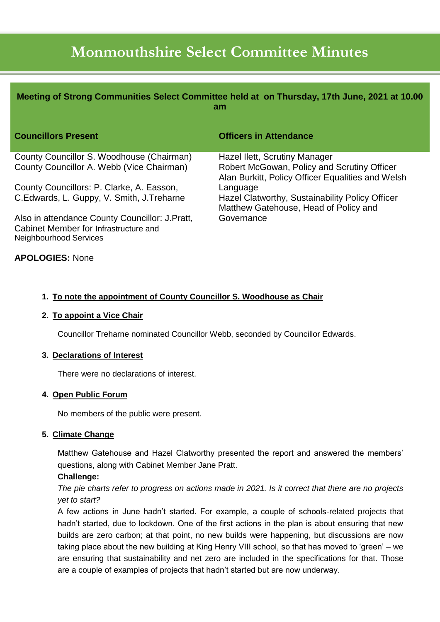# **Monmouthshire Select Committee Minutes**

| Meeting of Strong Communities Select Committee held at on Thursday, 17th June, 2021 at 10.00<br>am |                                                                                          |
|----------------------------------------------------------------------------------------------------|------------------------------------------------------------------------------------------|
| <b>Councillors Present</b>                                                                         | <b>Officers in Attendance</b>                                                            |
| County Councillor S. Woodhouse (Chairman)<br>County Councillor A. Webb (Vice Chairman)             | Hazel Ilett, Scrutiny Manager<br>Robert McGowan, Policy and Scrutiny Officer             |
|                                                                                                    | Alan Burkitt, Policy Officer Equalities and Welsh                                        |
| County Councillors: P. Clarke, A. Easson,                                                          | Language                                                                                 |
| C. Edwards, L. Guppy, V. Smith, J. Treharne                                                        | Hazel Clatworthy, Sustainability Policy Officer<br>Matthew Gatehouse, Head of Policy and |
| Also in attendance County Councillor: J.Pratt,                                                     | Governance                                                                               |
| Cabinet Member for Infrastructure and                                                              |                                                                                          |
| Neighbourhood Services                                                                             |                                                                                          |

# **APOLOGIES:** None

## **1. To note the appointment of County Councillor S. Woodhouse as Chair**

#### **2. To appoint a Vice Chair**

Councillor Treharne nominated Councillor Webb, seconded by Councillor Edwards.

#### **3. Declarations of Interest**

There were no declarations of interest.

#### **4. Open Public Forum**

No members of the public were present.

#### **5. Climate Change**

Matthew Gatehouse and Hazel Clatworthy presented the report and answered the members' questions, along with Cabinet Member Jane Pratt.

## **Challenge:**

*The pie charts refer to progress on actions made in 2021. Is it correct that there are no projects yet to start?*

A few actions in June hadn't started. For example, a couple of schools-related projects that hadn't started, due to lockdown. One of the first actions in the plan is about ensuring that new builds are zero carbon; at that point, no new builds were happening, but discussions are now taking place about the new building at King Henry VIII school, so that has moved to 'green' – we are ensuring that sustainability and net zero are included in the specifications for that. Those are a couple of examples of projects that hadn't started but are now underway.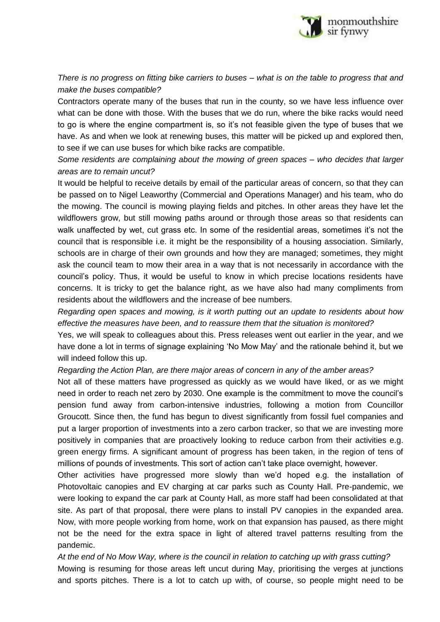

*There is no progress on fitting bike carriers to buses – what is on the table to progress that and make the buses compatible?*

Contractors operate many of the buses that run in the county, so we have less influence over what can be done with those. With the buses that we do run, where the bike racks would need to go is where the engine compartment is, so it's not feasible given the type of buses that we have. As and when we look at renewing buses, this matter will be picked up and explored then, to see if we can use buses for which bike racks are compatible.

*Some residents are complaining about the mowing of green spaces – who decides that larger areas are to remain uncut?*

It would be helpful to receive details by email of the particular areas of concern, so that they can be passed on to Nigel Leaworthy (Commercial and Operations Manager) and his team, who do the mowing. The council is mowing playing fields and pitches. In other areas they have let the wildflowers grow, but still mowing paths around or through those areas so that residents can walk unaffected by wet, cut grass etc. In some of the residential areas, sometimes it's not the council that is responsible i.e. it might be the responsibility of a housing association. Similarly, schools are in charge of their own grounds and how they are managed; sometimes, they might ask the council team to mow their area in a way that is not necessarily in accordance with the council's policy. Thus, it would be useful to know in which precise locations residents have concerns. It is tricky to get the balance right, as we have also had many compliments from residents about the wildflowers and the increase of bee numbers.

*Regarding open spaces and mowing, is it worth putting out an update to residents about how effective the measures have been, and to reassure them that the situation is monitored?*

Yes, we will speak to colleagues about this. Press releases went out earlier in the year, and we have done a lot in terms of signage explaining 'No Mow May' and the rationale behind it, but we will indeed follow this up.

*Regarding the Action Plan, are there major areas of concern in any of the amber areas?*

Not all of these matters have progressed as quickly as we would have liked, or as we might need in order to reach net zero by 2030. One example is the commitment to move the council's pension fund away from carbon-intensive industries, following a motion from Councillor Groucott. Since then, the fund has begun to divest significantly from fossil fuel companies and put a larger proportion of investments into a zero carbon tracker, so that we are investing more positively in companies that are proactively looking to reduce carbon from their activities e.g. green energy firms. A significant amount of progress has been taken, in the region of tens of millions of pounds of investments. This sort of action can't take place overnight, however.

Other activities have progressed more slowly than we'd hoped e.g. the installation of Photovoltaic canopies and EV charging at car parks such as County Hall. Pre-pandemic, we were looking to expand the car park at County Hall, as more staff had been consolidated at that site. As part of that proposal, there were plans to install PV canopies in the expanded area. Now, with more people working from home, work on that expansion has paused, as there might not be the need for the extra space in light of altered travel patterns resulting from the pandemic.

*At the end of No Mow Way, where is the council in relation to catching up with grass cutting?* Mowing is resuming for those areas left uncut during May, prioritising the verges at junctions and sports pitches. There is a lot to catch up with, of course, so people might need to be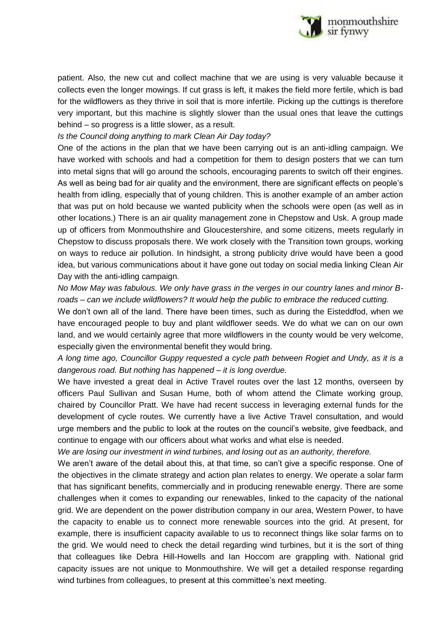

patient. Also, the new cut and collect machine that we are using is very valuable because it collects even the longer mowings. If cut grass is left, it makes the field more fertile, which is bad for the wildflowers as they thrive in soil that is more infertile. Picking up the cuttings is therefore very important, but this machine is slightly slower than the usual ones that leave the cuttings behind – so progress is a little slower, as a result.

*Is the Council doing anything to mark Clean Air Day today?*

One of the actions in the plan that we have been carrying out is an anti-idling campaign. We have worked with schools and had a competition for them to design posters that we can turn into metal signs that will go around the schools, encouraging parents to switch off their engines. As well as being bad for air quality and the environment, there are significant effects on people's health from idling, especially that of young children. This is another example of an amber action that was put on hold because we wanted publicity when the schools were open (as well as in other locations.) There is an air quality management zone in Chepstow and Usk. A group made up of officers from Monmouthshire and Gloucestershire, and some citizens, meets regularly in Chepstow to discuss proposals there. We work closely with the Transition town groups, working on ways to reduce air pollution. In hindsight, a strong publicity drive would have been a good idea, but various communications about it have gone out today on social media linking Clean Air Day with the anti-idling campaign.

*No Mow May was fabulous. We only have grass in the verges in our country lanes and minor Broads – can we include wildflowers? It would help the public to embrace the reduced cutting.*

We don't own all of the land. There have been times, such as during the Eisteddfod, when we have encouraged people to buy and plant wildflower seeds. We do what we can on our own land, and we would certainly agree that more wildflowers in the county would be very welcome, especially given the environmental benefit they would bring.

*A long time ago, Councillor Guppy requested a cycle path between Rogiet and Undy, as it is a dangerous road. But nothing has happened – it is long overdue.*

We have invested a great deal in Active Travel routes over the last 12 months, overseen by officers Paul Sullivan and Susan Hume, both of whom attend the Climate working group, chaired by Councillor Pratt. We have had recent success in leveraging external funds for the development of cycle routes. We currently have a live Active Travel consultation, and would urge members and the public to look at the routes on the council's website, give feedback, and continue to engage with our officers about what works and what else is needed.

*We are losing our investment in wind turbines, and losing out as an authority, therefore.*

We aren't aware of the detail about this, at that time, so can't give a specific response. One of the objectives in the climate strategy and action plan relates to energy. We operate a solar farm that has significant benefits, commercially and in producing renewable energy. There are some challenges when it comes to expanding our renewables, linked to the capacity of the national grid. We are dependent on the power distribution company in our area, Western Power, to have the capacity to enable us to connect more renewable sources into the grid. At present, for example, there is insufficient capacity available to us to reconnect things like solar farms on to the grid. We would need to check the detail regarding wind turbines, but it is the sort of thing that colleagues like Debra Hill-Howells and Ian Hoccom are grappling with. National grid capacity issues are not unique to Monmouthshire. We will get a detailed response regarding wind turbines from colleagues, to present at this committee's next meeting.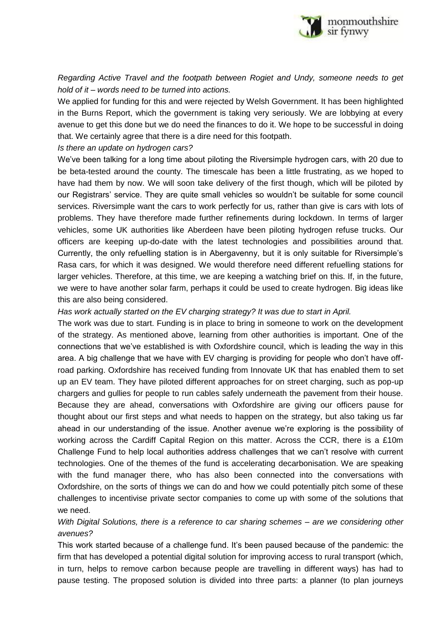

*Regarding Active Travel and the footpath between Rogiet and Undy, someone needs to get hold of it – words need to be turned into actions.*

We applied for funding for this and were rejected by Welsh Government. It has been highlighted in the Burns Report, which the government is taking very seriously. We are lobbying at every avenue to get this done but we do need the finances to do it. We hope to be successful in doing that. We certainly agree that there is a dire need for this footpath.

### *Is there an update on hydrogen cars?*

We've been talking for a long time about piloting the Riversimple hydrogen cars, with 20 due to be beta-tested around the county. The timescale has been a little frustrating, as we hoped to have had them by now. We will soon take delivery of the first though, which will be piloted by our Registrars' service. They are quite small vehicles so wouldn't be suitable for some council services. Riversimple want the cars to work perfectly for us, rather than give is cars with lots of problems. They have therefore made further refinements during lockdown. In terms of larger vehicles, some UK authorities like Aberdeen have been piloting hydrogen refuse trucks. Our officers are keeping up-do-date with the latest technologies and possibilities around that. Currently, the only refuelling station is in Abergavenny, but it is only suitable for Riversimple's Rasa cars, for which it was designed. We would therefore need different refuelling stations for larger vehicles. Therefore, at this time, we are keeping a watching brief on this. If, in the future, we were to have another solar farm, perhaps it could be used to create hydrogen. Big ideas like this are also being considered.

*Has work actually started on the EV charging strategy? It was due to start in April.*

The work was due to start. Funding is in place to bring in someone to work on the development of the strategy. As mentioned above, learning from other authorities is important. One of the connections that we've established is with Oxfordshire council, which is leading the way in this area. A big challenge that we have with EV charging is providing for people who don't have offroad parking. Oxfordshire has received funding from Innovate UK that has enabled them to set up an EV team. They have piloted different approaches for on street charging, such as pop-up chargers and gullies for people to run cables safely underneath the pavement from their house. Because they are ahead, conversations with Oxfordshire are giving our officers pause for thought about our first steps and what needs to happen on the strategy, but also taking us far ahead in our understanding of the issue. Another avenue we're exploring is the possibility of working across the Cardiff Capital Region on this matter. Across the CCR, there is a £10m Challenge Fund to help local authorities address challenges that we can't resolve with current technologies. One of the themes of the fund is accelerating decarbonisation. We are speaking with the fund manager there, who has also been connected into the conversations with Oxfordshire, on the sorts of things we can do and how we could potentially pitch some of these challenges to incentivise private sector companies to come up with some of the solutions that we need.

*With Digital Solutions, there is a reference to car sharing schemes – are we considering other avenues?*

This work started because of a challenge fund. It's been paused because of the pandemic: the firm that has developed a potential digital solution for improving access to rural transport (which, in turn, helps to remove carbon because people are travelling in different ways) has had to pause testing. The proposed solution is divided into three parts: a planner (to plan journeys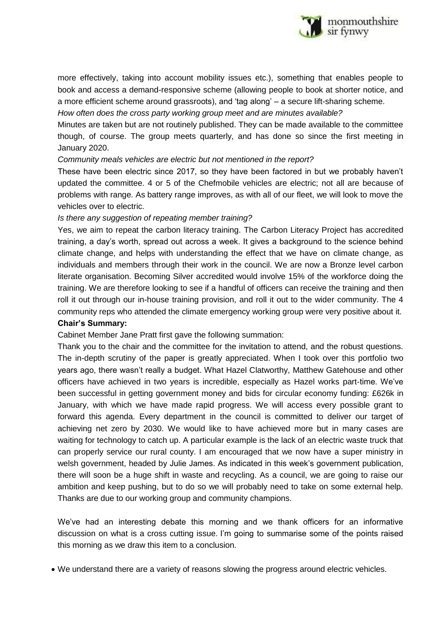

more effectively, taking into account mobility issues etc.), something that enables people to book and access a demand-responsive scheme (allowing people to book at shorter notice, and a more efficient scheme around grassroots), and 'tag along' – a secure lift-sharing scheme.

*How often does the cross party working group meet and are minutes available?*

Minutes are taken but are not routinely published. They can be made available to the committee though, of course. The group meets quarterly, and has done so since the first meeting in January 2020.

*Community meals vehicles are electric but not mentioned in the report?*

These have been electric since 2017, so they have been factored in but we probably haven't updated the committee. 4 or 5 of the Chefmobile vehicles are electric; not all are because of problems with range. As battery range improves, as with all of our fleet, we will look to move the vehicles over to electric.

#### *Is there any suggestion of repeating member training?*

Yes, we aim to repeat the carbon literacy training. The Carbon Literacy Project has accredited training, a day's worth, spread out across a week. It gives a background to the science behind climate change, and helps with understanding the effect that we have on climate change, as individuals and members through their work in the council. We are now a Bronze level carbon literate organisation. Becoming Silver accredited would involve 15% of the workforce doing the training. We are therefore looking to see if a handful of officers can receive the training and then roll it out through our in-house training provision, and roll it out to the wider community. The 4 community reps who attended the climate emergency working group were very positive about it. **Chair's Summary:**

Cabinet Member Jane Pratt first gave the following summation:

Thank you to the chair and the committee for the invitation to attend, and the robust questions. The in-depth scrutiny of the paper is greatly appreciated. When I took over this portfolio two years ago, there wasn't really a budget. What Hazel Clatworthy, Matthew Gatehouse and other officers have achieved in two years is incredible, especially as Hazel works part-time. We've been successful in getting government money and bids for circular economy funding: £626k in January, with which we have made rapid progress. We will access every possible grant to forward this agenda. Every department in the council is committed to deliver our target of achieving net zero by 2030. We would like to have achieved more but in many cases are waiting for technology to catch up. A particular example is the lack of an electric waste truck that can properly service our rural county. I am encouraged that we now have a super ministry in welsh government, headed by Julie James. As indicated in this week's government publication, there will soon be a huge shift in waste and recycling. As a council, we are going to raise our ambition and keep pushing, but to do so we will probably need to take on some external help. Thanks are due to our working group and community champions.

We've had an interesting debate this morning and we thank officers for an informative discussion on what is a cross cutting issue. I'm going to summarise some of the points raised this morning as we draw this item to a conclusion.

We understand there are a variety of reasons slowing the progress around electric vehicles.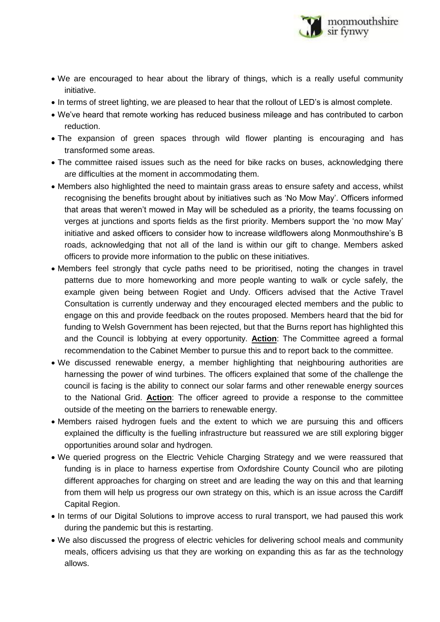

- We are encouraged to hear about the library of things, which is a really useful community initiative.
- In terms of street lighting, we are pleased to hear that the rollout of LED's is almost complete.
- We've heard that remote working has reduced business mileage and has contributed to carbon reduction.
- The expansion of green spaces through wild flower planting is encouraging and has transformed some areas.
- The committee raised issues such as the need for bike racks on buses, acknowledging there are difficulties at the moment in accommodating them.
- Members also highlighted the need to maintain grass areas to ensure safety and access, whilst recognising the benefits brought about by initiatives such as 'No Mow May'. Officers informed that areas that weren't mowed in May will be scheduled as a priority, the teams focussing on verges at junctions and sports fields as the first priority. Members support the 'no mow May' initiative and asked officers to consider how to increase wildflowers along Monmouthshire's B roads, acknowledging that not all of the land is within our gift to change. Members asked officers to provide more information to the public on these initiatives.
- Members feel strongly that cycle paths need to be prioritised, noting the changes in travel patterns due to more homeworking and more people wanting to walk or cycle safely, the example given being between Rogiet and Undy. Officers advised that the Active Travel Consultation is currently underway and they encouraged elected members and the public to engage on this and provide feedback on the routes proposed. Members heard that the bid for funding to Welsh Government has been rejected, but that the Burns report has highlighted this and the Council is lobbying at every opportunity. **Action**: The Committee agreed a formal recommendation to the Cabinet Member to pursue this and to report back to the committee.
- We discussed renewable energy, a member highlighting that neighbouring authorities are harnessing the power of wind turbines. The officers explained that some of the challenge the council is facing is the ability to connect our solar farms and other renewable energy sources to the National Grid. **Action**: The officer agreed to provide a response to the committee outside of the meeting on the barriers to renewable energy.
- Members raised hydrogen fuels and the extent to which we are pursuing this and officers explained the difficulty is the fuelling infrastructure but reassured we are still exploring bigger opportunities around solar and hydrogen.
- We queried progress on the Electric Vehicle Charging Strategy and we were reassured that funding is in place to harness expertise from Oxfordshire County Council who are piloting different approaches for charging on street and are leading the way on this and that learning from them will help us progress our own strategy on this, which is an issue across the Cardiff Capital Region.
- In terms of our Digital Solutions to improve access to rural transport, we had paused this work during the pandemic but this is restarting.
- We also discussed the progress of electric vehicles for delivering school meals and community meals, officers advising us that they are working on expanding this as far as the technology allows.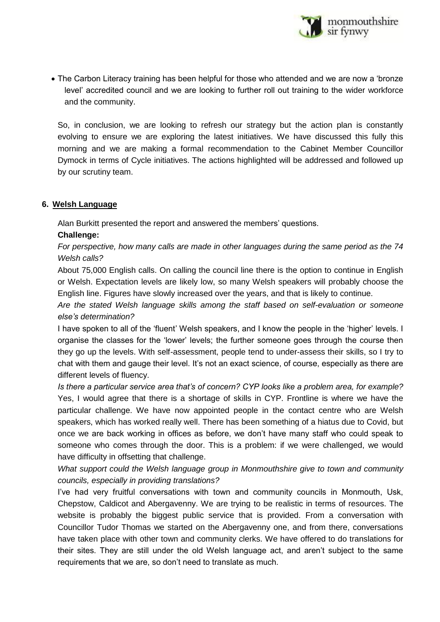

• The Carbon Literacy training has been helpful for those who attended and we are now a 'bronze level' accredited council and we are looking to further roll out training to the wider workforce and the community.

So, in conclusion, we are looking to refresh our strategy but the action plan is constantly evolving to ensure we are exploring the latest initiatives. We have discussed this fully this morning and we are making a formal recommendation to the Cabinet Member Councillor Dymock in terms of Cycle initiatives. The actions highlighted will be addressed and followed up by our scrutiny team.

# **6. Welsh Language**

Alan Burkitt presented the report and answered the members' questions.

# **Challenge:**

*For perspective, how many calls are made in other languages during the same period as the 74 Welsh calls?*

About 75,000 English calls. On calling the council line there is the option to continue in English or Welsh. Expectation levels are likely low, so many Welsh speakers will probably choose the English line. Figures have slowly increased over the years, and that is likely to continue.

*Are the stated Welsh language skills among the staff based on self-evaluation or someone else's determination?*

I have spoken to all of the 'fluent' Welsh speakers, and I know the people in the 'higher' levels. I organise the classes for the 'lower' levels; the further someone goes through the course then they go up the levels. With self-assessment, people tend to under-assess their skills, so I try to chat with them and gauge their level. It's not an exact science, of course, especially as there are different levels of fluency.

*Is there a particular service area that's of concern? CYP looks like a problem area, for example?* Yes, I would agree that there is a shortage of skills in CYP. Frontline is where we have the particular challenge. We have now appointed people in the contact centre who are Welsh speakers, which has worked really well. There has been something of a hiatus due to Covid, but once we are back working in offices as before, we don't have many staff who could speak to someone who comes through the door. This is a problem: if we were challenged, we would have difficulty in offsetting that challenge.

*What support could the Welsh language group in Monmouthshire give to town and community councils, especially in providing translations?*

I've had very fruitful conversations with town and community councils in Monmouth, Usk, Chepstow, Caldicot and Abergavenny. We are trying to be realistic in terms of resources. The website is probably the biggest public service that is provided. From a conversation with Councillor Tudor Thomas we started on the Abergavenny one, and from there, conversations have taken place with other town and community clerks. We have offered to do translations for their sites. They are still under the old Welsh language act, and aren't subject to the same requirements that we are, so don't need to translate as much.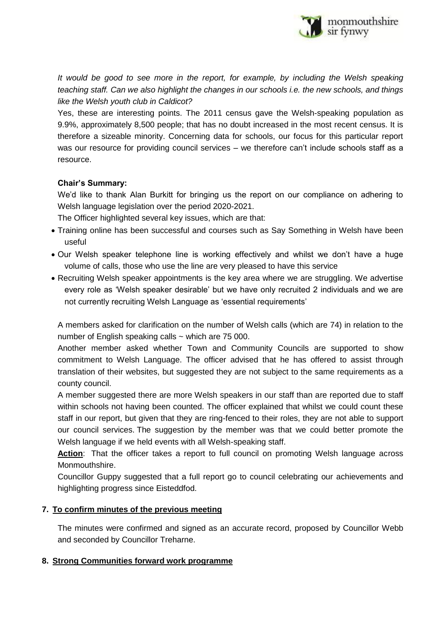

*It would be good to see more in the report, for example, by including the Welsh speaking teaching staff. Can we also highlight the changes in our schools i.e. the new schools, and things like the Welsh youth club in Caldicot?*

Yes, these are interesting points. The 2011 census gave the Welsh-speaking population as 9.9%, approximately 8,500 people; that has no doubt increased in the most recent census. It is therefore a sizeable minority. Concerning data for schools, our focus for this particular report was our resource for providing council services – we therefore can't include schools staff as a resource.

# **Chair's Summary:**

We'd like to thank Alan Burkitt for bringing us the report on our compliance on adhering to Welsh language legislation over the period 2020-2021.

The Officer highlighted several key issues, which are that:

- Training online has been successful and courses such as Say Something in Welsh have been useful
- Our Welsh speaker telephone line is working effectively and whilst we don't have a huge volume of calls, those who use the line are very pleased to have this service
- Recruiting Welsh speaker appointments is the key area where we are struggling. We advertise every role as 'Welsh speaker desirable' but we have only recruited 2 individuals and we are not currently recruiting Welsh Language as 'essential requirements'

A members asked for clarification on the number of Welsh calls (which are 74) in relation to the number of English speaking calls  $\sim$  which are 75 000.

Another member asked whether Town and Community Councils are supported to show commitment to Welsh Language. The officer advised that he has offered to assist through translation of their websites, but suggested they are not subject to the same requirements as a county council.

A member suggested there are more Welsh speakers in our staff than are reported due to staff within schools not having been counted. The officer explained that whilst we could count these staff in our report, but given that they are ring-fenced to their roles, they are not able to support our council services. The suggestion by the member was that we could better promote the Welsh language if we held events with all Welsh-speaking staff.

Action: That the officer takes a report to full council on promoting Welsh language across Monmouthshire.

Councillor Guppy suggested that a full report go to council celebrating our achievements and highlighting progress since Eisteddfod.

## **7. To confirm minutes of the previous meeting**

The minutes were confirmed and signed as an accurate record, proposed by Councillor Webb and seconded by Councillor Treharne.

# **8. Strong Communities forward work programme**